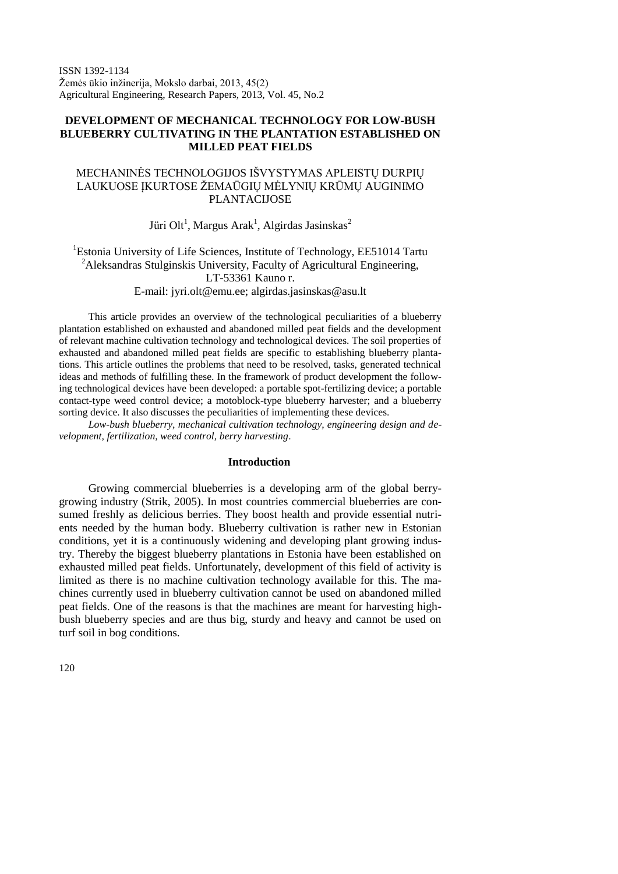ISSN 1392-1134 Žemės ūkio inžinerija, Mokslo darbai, 2013, 45(2) Agricultural Engineering, Research Papers, 2013, Vol. 45, No.2

## **DEVELOPMENT OF MECHANICAL TECHNOLOGY FOR LOW-BUSH BLUEBERRY CULTIVATING IN THE PLANTATION ESTABLISHED ON MILLED PEAT FIELDS**

# MECHANINĖS TECHNOLOGIJOS IŠVYSTYMAS APLEISTŲ DURPIŲ LAUKUOSE ĮKURTOSE ŽEMAŪGIŲ MĖLYNIŲ KRŪMŲ AUGINIMO PLANTACIJOSE

Jüri Olt<sup>1</sup>, Margus Arak<sup>1</sup>, Algirdas Jasinskas<sup>2</sup>

<sup>1</sup>Estonia University of Life Sciences, Institute of Technology, EE51014 Tartu <sup>2</sup>Aleksandras Stulginskis University, Faculty of Agricultural Engineering, LT-53361 Kauno r. E-mail: jyri.olt@emu.ee; algirdas.jasinskas@asu.lt

This article provides an overview of the technological peculiarities of a blueberry plantation established on exhausted and abandoned milled peat fields and the development of relevant machine cultivation technology and technological devices. The soil properties of exhausted and abandoned milled peat fields are specific to establishing blueberry plantations. This article outlines the problems that need to be resolved, tasks, generated technical ideas and methods of fulfilling these. In the framework of product development the following technological devices have been developed: a portable spot-fertilizing device; a portable contact-type weed control device; a motoblock-type blueberry harvester; and a blueberry sorting device. It also discusses the peculiarities of implementing these devices.

*Low-bush blueberry, mechanical cultivation technology, engineering design and development, fertilization, weed control, berry harvesting*.

#### **Introduction**

Growing commercial blueberries is a developing arm of the global berrygrowing industry (Strik, 2005). In most countries commercial blueberries are consumed freshly as delicious berries. They boost health and provide essential nutrients needed by the human body. Blueberry cultivation is rather new in Estonian conditions, yet it is a continuously widening and developing plant growing industry. Thereby the biggest blueberry plantations in Estonia have been established on exhausted milled peat fields. Unfortunately, development of this field of activity is limited as there is no machine cultivation technology available for this. The machines currently used in blueberry cultivation cannot be used on abandoned milled peat fields. One of the reasons is that the machines are meant for harvesting highbush blueberry species and are thus big, sturdy and heavy and cannot be used on turf soil in bog conditions.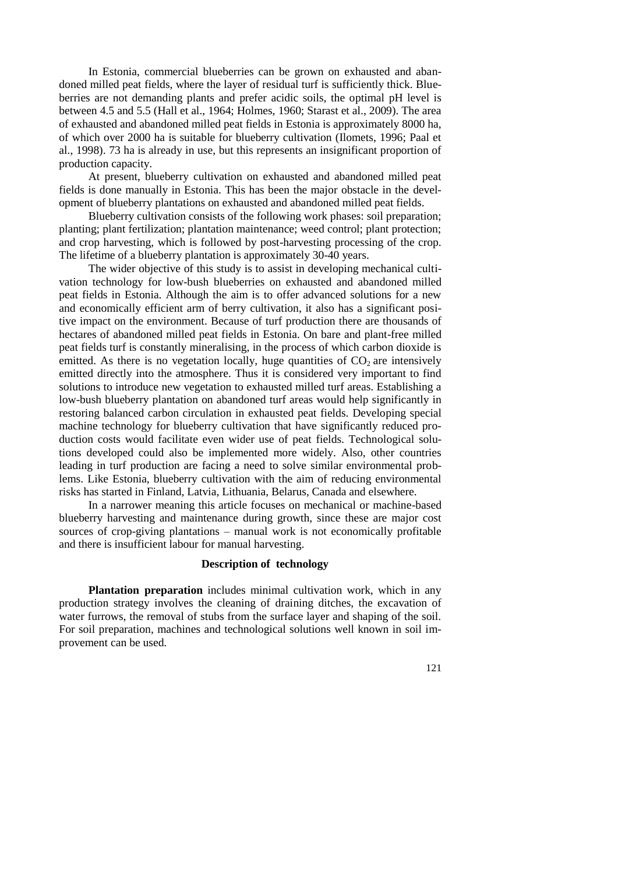In Estonia, commercial blueberries can be grown on exhausted and abandoned milled peat fields, where the layer of residual turf is sufficiently thick. Blueberries are not demanding plants and prefer acidic soils, the optimal pH level is between 4.5 and 5.5 (Hall et al., 1964; Holmes, 1960; Starast et al., 2009). The area of exhausted and abandoned milled peat fields in Estonia is approximately 8000 ha, of which over 2000 ha is suitable for blueberry cultivation (Ilomets, 1996; Paal et al., 1998). 73 ha is already in use, but this represents an insignificant proportion of production capacity.

At present, blueberry cultivation on exhausted and abandoned milled peat fields is done manually in Estonia. This has been the major obstacle in the development of blueberry plantations on exhausted and abandoned milled peat fields.

Blueberry cultivation consists of the following work phases: soil preparation; planting; plant fertilization; plantation maintenance; weed control; plant protection; and crop harvesting, which is followed by post-harvesting processing of the crop. The lifetime of a blueberry plantation is approximately 30-40 years.

The wider objective of this study is to assist in developing mechanical cultivation technology for low-bush blueberries on exhausted and abandoned milled peat fields in Estonia. Although the aim is to offer advanced solutions for a new and economically efficient arm of berry cultivation, it also has a significant positive impact on the environment. Because of turf production there are thousands of hectares of abandoned milled peat fields in Estonia. On bare and plant-free milled peat fields turf is constantly mineralising, in the process of which carbon dioxide is emitted. As there is no vegetation locally, huge quantities of  $CO<sub>2</sub>$  are intensively emitted directly into the atmosphere. Thus it is considered very important to find solutions to introduce new vegetation to exhausted milled turf areas. Establishing a low-bush blueberry plantation on abandoned turf areas would help significantly in restoring balanced carbon circulation in exhausted peat fields. Developing special machine technology for blueberry cultivation that have significantly reduced production costs would facilitate even wider use of peat fields. Technological solutions developed could also be implemented more widely. Also, other countries leading in turf production are facing a need to solve similar environmental problems. Like Estonia, blueberry cultivation with the aim of reducing environmental risks has started in Finland, Latvia, Lithuania, Belarus, Canada and elsewhere.

In a narrower meaning this article focuses on mechanical or machine-based blueberry harvesting and maintenance during growth, since these are major cost sources of crop-giving plantations – manual work is not economically profitable and there is insufficient labour for manual harvesting.

### **Description of technology**

**Plantation preparation** includes minimal cultivation work, which in any production strategy involves the cleaning of draining ditches, the excavation of water furrows, the removal of stubs from the surface layer and shaping of the soil. For soil preparation, machines and technological solutions well known in soil improvement can be used.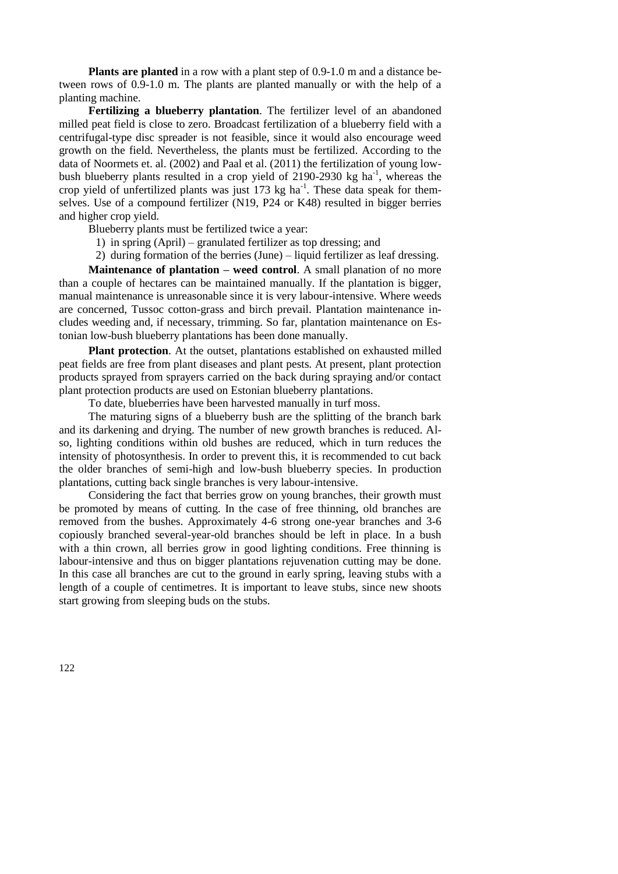**Plants are planted** in a row with a plant step of 0.9-1.0 m and a distance between rows of 0.9-1.0 m. The plants are planted manually or with the help of a planting machine.

**Fertilizing a blueberry plantation**. The fertilizer level of an abandoned milled peat field is close to zero. Broadcast fertilization of a blueberry field with a centrifugal-type disc spreader is not feasible, since it would also encourage weed growth on the field. Nevertheless, the plants must be fertilized. According to the data of Noormets et. al. (2002) and Paal et al. (2011) the fertilization of young lowbush blueberry plants resulted in a crop yield of  $2190-2930$  kg ha<sup>-1</sup>, whereas the crop yield of unfertilized plants was just  $173 \text{ kg}$  ha<sup>-1</sup>. These data speak for themselves. Use of a compound fertilizer (N19, P24 or K48) resulted in bigger berries and higher crop yield.

Blueberry plants must be fertilized twice a year:

- 1) in spring (April) granulated fertilizer as top dressing; and
- 2) during formation of the berries (June) liquid fertilizer as leaf dressing.

**Maintenance of plantation – weed control**. A small planation of no more than a couple of hectares can be maintained manually. If the plantation is bigger, manual maintenance is unreasonable since it is very labour-intensive. Where weeds are concerned, Tussoc cotton-grass and birch prevail. Plantation maintenance includes weeding and, if necessary, trimming. So far, plantation maintenance on Estonian low-bush blueberry plantations has been done manually.

**Plant protection**. At the outset, plantations established on exhausted milled peat fields are free from plant diseases and plant pests. At present, plant protection products sprayed from sprayers carried on the back during spraying and/or contact plant protection products are used on Estonian blueberry plantations.

To date, blueberries have been harvested manually in turf moss.

The maturing signs of a blueberry bush are the splitting of the branch bark and its darkening and drying. The number of new growth branches is reduced. Also, lighting conditions within old bushes are reduced, which in turn reduces the intensity of photosynthesis. In order to prevent this, it is recommended to cut back the older branches of semi-high and low-bush blueberry species. In production plantations, cutting back single branches is very labour-intensive.

Considering the fact that berries grow on young branches, their growth must be promoted by means of cutting. In the case of free thinning, old branches are removed from the bushes. Approximately 4-6 strong one-year branches and 3-6 copiously branched several-year-old branches should be left in place. In a bush with a thin crown, all berries grow in good lighting conditions. Free thinning is labour-intensive and thus on bigger plantations rejuvenation cutting may be done. In this case all branches are cut to the ground in early spring, leaving stubs with a length of a couple of centimetres. It is important to leave stubs, since new shoots start growing from sleeping buds on the stubs.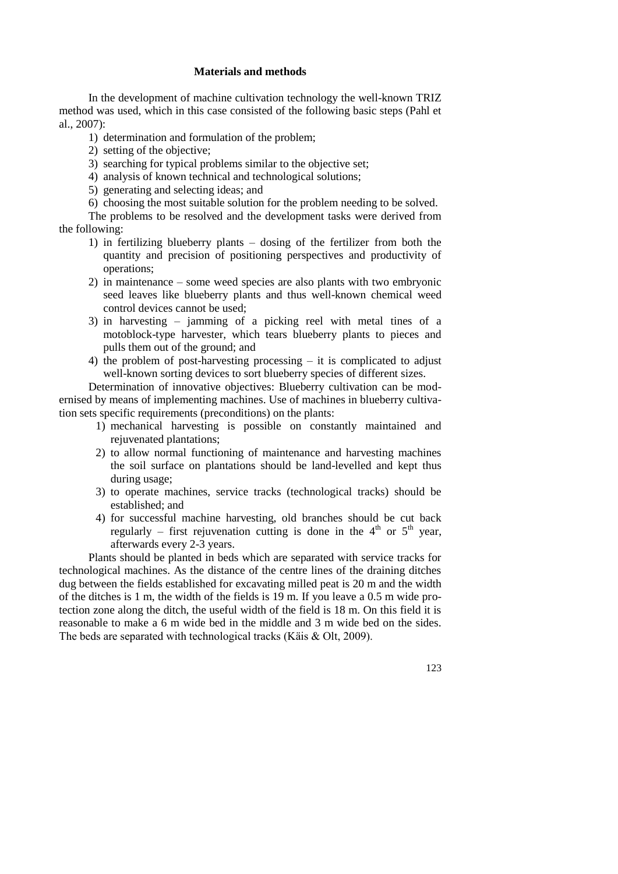# **Materials and methods**

In the development of machine cultivation technology the well-known TRIZ method was used, which in this case consisted of the following basic steps (Pahl et al., 2007):

- 1) determination and formulation of the problem;
- 2) setting of the objective;
- 3) searching for typical problems similar to the objective set;
- 4) analysis of known technical and technological solutions;
- 5) generating and selecting ideas; and
- 6) choosing the most suitable solution for the problem needing to be solved.

The problems to be resolved and the development tasks were derived from the following:

- 1) in fertilizing blueberry plants dosing of the fertilizer from both the quantity and precision of positioning perspectives and productivity of operations;
- 2) in maintenance some weed species are also plants with two embryonic seed leaves like blueberry plants and thus well-known chemical weed control devices cannot be used;
- 3) in harvesting jamming of a picking reel with metal tines of a motoblock-type harvester, which tears blueberry plants to pieces and pulls them out of the ground; and
- 4) the problem of post-harvesting processing it is complicated to adjust well-known sorting devices to sort blueberry species of different sizes.

Determination of innovative objectives: Blueberry cultivation can be modernised by means of implementing machines. Use of machines in blueberry cultivation sets specific requirements (preconditions) on the plants:

- 1) mechanical harvesting is possible on constantly maintained and rejuvenated plantations;
- 2) to allow normal functioning of maintenance and harvesting machines the soil surface on plantations should be land-levelled and kept thus during usage;
- 3) to operate machines, service tracks (technological tracks) should be established; and
- 4) for successful machine harvesting, old branches should be cut back regularly – first rejuvenation cutting is done in the  $4<sup>th</sup>$  or  $5<sup>th</sup>$  year, afterwards every 2-3 years.

Plants should be planted in beds which are separated with service tracks for technological machines. As the distance of the centre lines of the draining ditches dug between the fields established for excavating milled peat is 20 m and the width of the ditches is 1 m, the width of the fields is 19 m. If you leave a 0.5 m wide protection zone along the ditch, the useful width of the field is 18 m. On this field it is reasonable to make a 6 m wide bed in the middle and 3 m wide bed on the sides. The beds are separated with technological tracks (Käis & Olt, 2009).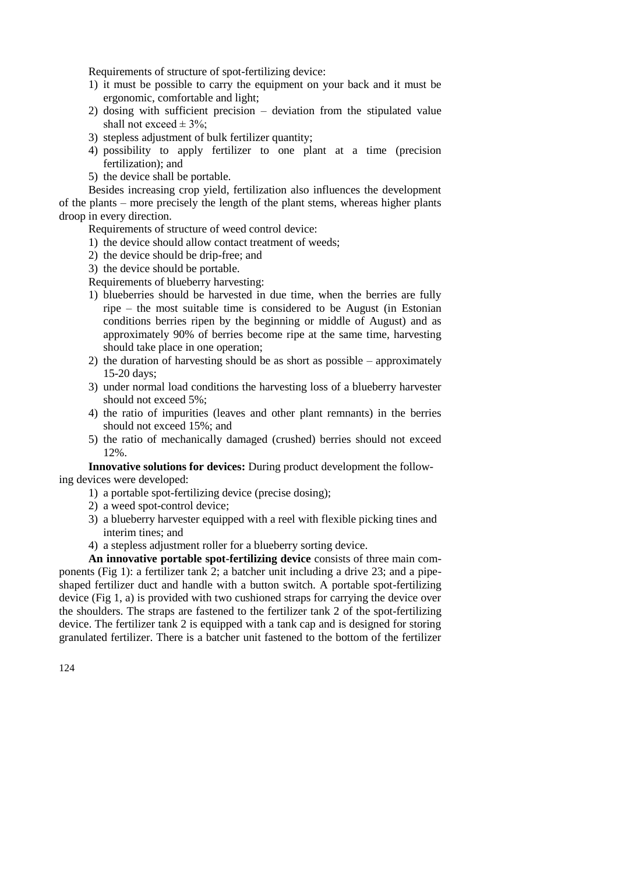Requirements of structure of spot-fertilizing device:

- 1) it must be possible to carry the equipment on your back and it must be ergonomic, comfortable and light;
- 2) dosing with sufficient precision deviation from the stipulated value shall not exceed  $\pm$  3%;
- 3) stepless adjustment of bulk fertilizer quantity;
- 4) possibility to apply fertilizer to one plant at a time (precision fertilization); and
- 5) the device shall be portable.

Besides increasing crop yield, fertilization also influences the development of the plants – more precisely the length of the plant stems, whereas higher plants droop in every direction.

Requirements of structure of weed control device:

- 1) the device should allow contact treatment of weeds;
- 2) the device should be drip-free; and
- 3) the device should be portable.

Requirements of blueberry harvesting:

- 1) blueberries should be harvested in due time, when the berries are fully ripe – the most suitable time is considered to be August (in Estonian conditions berries ripen by the beginning or middle of August) and as approximately 90% of berries become ripe at the same time, harvesting should take place in one operation;
- 2) the duration of harvesting should be as short as possible approximately 15-20 days;
- 3) under normal load conditions the harvesting loss of a blueberry harvester should not exceed 5%;
- 4) the ratio of impurities (leaves and other plant remnants) in the berries should not exceed 15%; and
- 5) the ratio of mechanically damaged (crushed) berries should not exceed 12%.

**Innovative solutions for devices:** During product development the following devices were developed:

- 1) a portable spot-fertilizing device (precise dosing);
- 2) a weed spot-control device;
- 3) a blueberry harvester equipped with a reel with flexible picking tines and interim tines; and
- 4) a stepless adjustment roller for a blueberry sorting device.

**An innovative portable spot-fertilizing device** consists of three main components (Fig 1): a fertilizer tank 2; a batcher unit including a drive 23; and a pipeshaped fertilizer duct and handle with a button switch. A portable spot-fertilizing device (Fig 1, a) is provided with two cushioned straps for carrying the device over the shoulders. The straps are fastened to the fertilizer tank 2 of the spot-fertilizing device. The fertilizer tank 2 is equipped with a tank cap and is designed for storing granulated fertilizer. There is a batcher unit fastened to the bottom of the fertilizer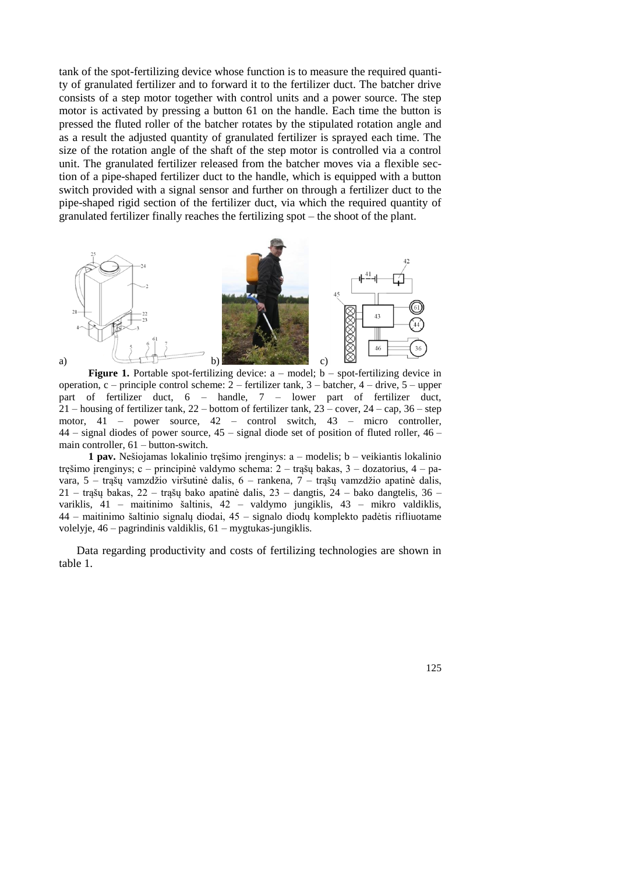tank of the spot-fertilizing device whose function is to measure the required quantity of granulated fertilizer and to forward it to the fertilizer duct. The batcher drive consists of a step motor together with control units and a power source. The step motor is activated by pressing a button 61 on the handle. Each time the button is pressed the fluted roller of the batcher rotates by the stipulated rotation angle and as a result the adjusted quantity of granulated fertilizer is sprayed each time. The size of the rotation angle of the shaft of the step motor is controlled via a control unit. The granulated fertilizer released from the batcher moves via a flexible section of a pipe-shaped fertilizer duct to the handle, which is equipped with a button switch provided with a signal sensor and further on through a fertilizer duct to the pipe-shaped rigid section of the fertilizer duct, via which the required quantity of granulated fertilizer finally reaches the fertilizing spot – the shoot of the plant.



**Figure 1.** Portable spot-fertilizing device: a – model; b – spot-fertilizing device in operation, c – principle control scheme:  $2$  – fertilizer tank,  $3$  – batcher,  $4$  – drive,  $5$  – upper part of fertilizer duct, 6 – handle, 7 – lower part of fertilizer duct, 21 – housing of fertilizer tank, 22 – bottom of fertilizer tank, 23 – cover, 24 – cap, 36 – step motor, 41 – power source, 42 – control switch, 43 – micro controller, 44 – signal diodes of power source, 45 – signal diode set of position of fluted roller, 46 – main controller, 61 – button-switch.

**1 pav.** Nešiojamas lokalinio tręšimo įrenginys: a – modelis; b – veikiantis lokalinio tręšimo įrenginys; c – principinė valdymo schema:  $2 - \text{trajų bakas}, 3 - \text{dozatorius}, 4 - \text{pa-}$ vara, 5 – trąšų vamzdžio viršutinė dalis, 6 – rankena, 7 – trąšų vamzdžio apatinė dalis, 21 – trašų bakas, 22 – trašų bako apatinė dalis, 23 – dangtis, 24 – bako dangtelis, 36 – variklis, 41 – maitinimo šaltinis, 42 – valdymo jungiklis, 43 – mikro valdiklis, 44 – maitinimo šaltinio signalų diodai, 45 – signalo diodų komplekto padėtis rifliuotame volelyje, 46 – pagrindinis valdiklis, 61 – mygtukas-jungiklis.

Data regarding productivity and costs of fertilizing technologies are shown in table 1.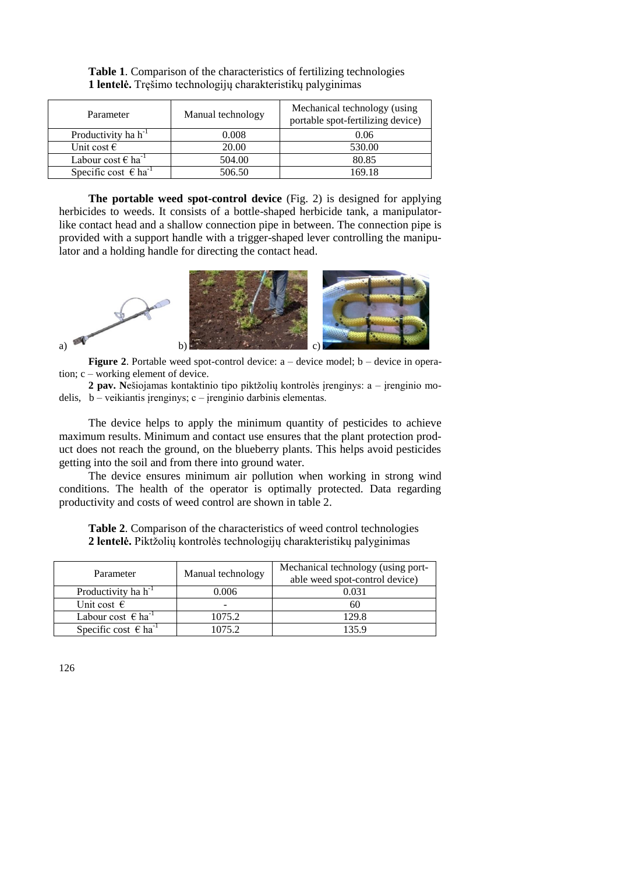| Parameter                               | Manual technology | Mechanical technology (using<br>portable spot-fertilizing device) |
|-----------------------------------------|-------------------|-------------------------------------------------------------------|
| Productivity ha $h^{-1}$                | 0.008             | 0.06                                                              |
| Unit cost $\epsilon$                    | 20.00             | 530.00                                                            |
| Labour cost $\epsilon$ ha <sup>-1</sup> | 504.00            | 80.85                                                             |
| Specific cost $\in$ ha <sup>-1</sup>    | 506.50            | 169.18                                                            |

**Table 1**. Comparison of the characteristics of fertilizing technologies **1 lentelė.** Tręšimo technologijų charakteristikų palyginimas

**The portable weed spot-control device** (Fig. 2) is designed for applying herbicides to weeds. It consists of a bottle-shaped herbicide tank, a manipulatorlike contact head and a shallow connection pipe in between. The connection pipe is provided with a support handle with a trigger-shaped lever controlling the manipulator and a holding handle for directing the contact head.



**Figure 2.** Portable weed spot-control device: a – device model; b – device in operation; c – working element of device.

**2 pav. N**ešiojamas kontaktinio tipo piktžolių kontrolės įrenginys: a – įrenginio modelis, b – veikiantis įrenginys; c – įrenginio darbinis elementas.

The device helps to apply the minimum quantity of pesticides to achieve maximum results. Minimum and contact use ensures that the plant protection product does not reach the ground, on the blueberry plants. This helps avoid pesticides getting into the soil and from there into ground water.

The device ensures minimum air pollution when working in strong wind conditions. The health of the operator is optimally protected. Data regarding productivity and costs of weed control are shown in table 2.

**Table 2**. Comparison of the characteristics of weed control technologies **2 lentelė.** Piktžolių kontrolės technologijų charakteristikų palyginimas

| Parameter                            | Manual technology | Mechanical technology (using port-<br>able weed spot-control device) |
|--------------------------------------|-------------------|----------------------------------------------------------------------|
| Productivity ha $h^{-1}$             | 0.006             | 0.031                                                                |
| Unit cost $\in$                      | -                 | 60                                                                   |
| Labour cost $\in$ ha <sup>-1</sup>   | 1075.2            | 129.8                                                                |
| Specific cost $\in$ ha <sup>-1</sup> | 1075.2            | 135.9                                                                |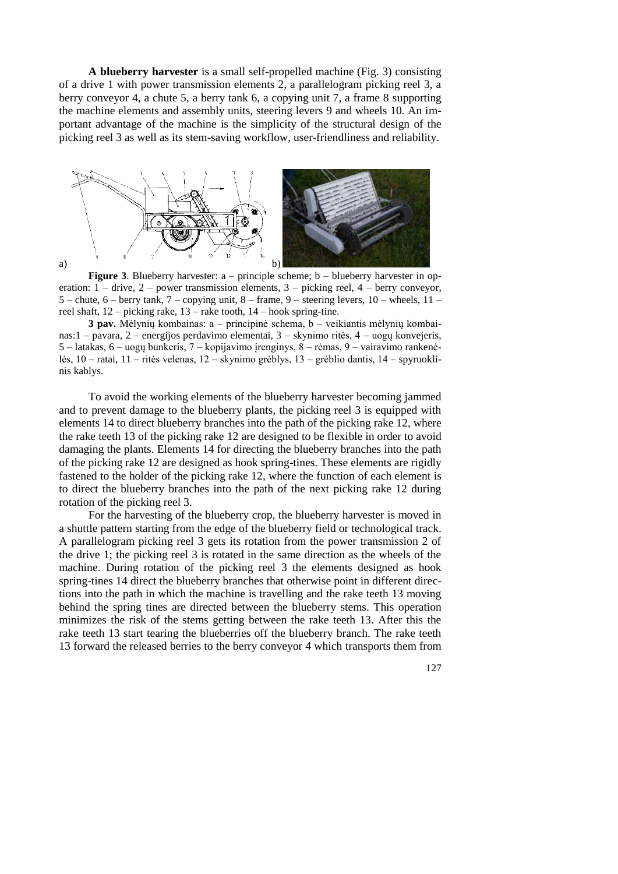**A blueberry harvester** is a small self-propelled machine (Fig. 3) consisting of a drive 1 with power transmission elements 2, a parallelogram picking reel 3, a berry conveyor 4, a chute 5, a berry tank 6, a copying unit 7, a frame 8 supporting the machine elements and assembly units, steering levers 9 and wheels 10. An important advantage of the machine is the simplicity of the structural design of the picking reel 3 as well as its stem-saving workflow, user-friendliness and reliability.



**Figure 3**. Blueberry harvester: a – principle scheme; b – blueberry harvester in operation: 1 – drive, 2 – power transmission elements, 3 – picking reel, 4 – berry conveyor, 5 – chute,  $6$  – berry tank,  $7$  – copying unit,  $8$  – frame,  $9$  – steering levers,  $10$  – wheels,  $11$  – reel shaft,  $12$  – picking rake,  $13$  – rake tooth,  $14$  – hook spring-tine.

**3 pav.** Mėlynių kombainas: a – principinė schema, b – veikiantis mėlynių kombainas:1 – pavara, 2 – energijos perdavimo elementai, 3 – skynimo ritės, 4 – uogų konvejeris, 5 – latakas, 6 – uogų bunkeris, 7 – kopijavimo įrenginys, 8 – rėmas, 9 – vairavimo rankenėlės, 10 – ratai, 11 – ritės velenas, 12 – skynimo grėblys, 13 – grėblio dantis, 14 – spyruoklinis kablys.

To avoid the working elements of the blueberry harvester becoming jammed and to prevent damage to the blueberry plants, the picking reel 3 is equipped with elements 14 to direct blueberry branches into the path of the picking rake 12, where the rake teeth 13 of the picking rake 12 are designed to be flexible in order to avoid damaging the plants. Elements 14 for directing the blueberry branches into the path of the picking rake 12 are designed as hook spring-tines. These elements are rigidly fastened to the holder of the picking rake 12, where the function of each element is to direct the blueberry branches into the path of the next picking rake 12 during rotation of the picking reel 3.

For the harvesting of the blueberry crop, the blueberry harvester is moved in a shuttle pattern starting from the edge of the blueberry field or technological track. A parallelogram picking reel 3 gets its rotation from the power transmission 2 of the drive 1; the picking reel 3 is rotated in the same direction as the wheels of the machine. During rotation of the picking reel 3 the elements designed as hook spring-tines 14 direct the blueberry branches that otherwise point in different directions into the path in which the machine is travelling and the rake teeth 13 moving behind the spring tines are directed between the blueberry stems. This operation minimizes the risk of the stems getting between the rake teeth 13. After this the rake teeth 13 start tearing the blueberries off the blueberry branch. The rake teeth 13 forward the released berries to the berry conveyor 4 which transports them from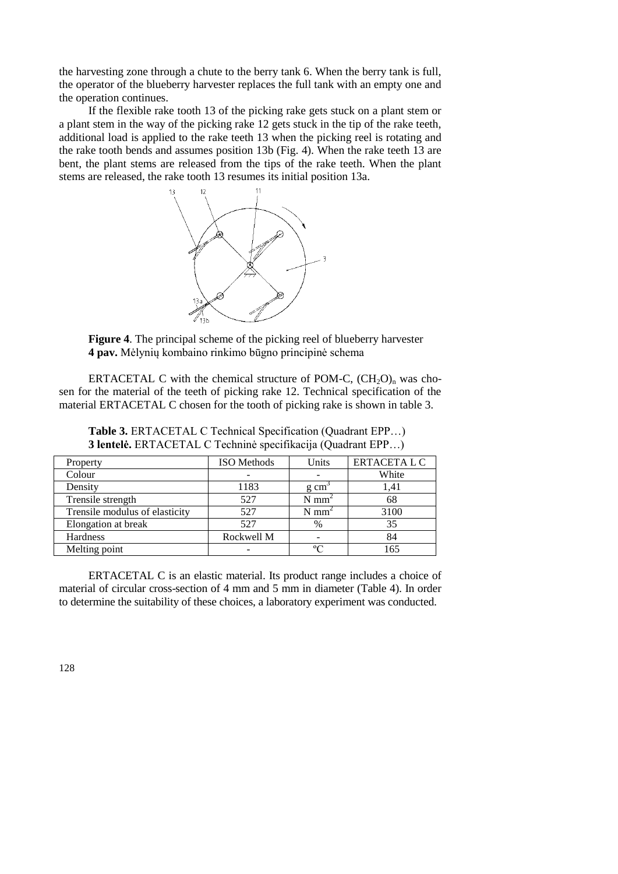the harvesting zone through a chute to the berry tank 6. When the berry tank is full, the operator of the blueberry harvester replaces the full tank with an empty one and the operation continues.

If the flexible rake tooth 13 of the picking rake gets stuck on a plant stem or a plant stem in the way of the picking rake 12 gets stuck in the tip of the rake teeth, additional load is applied to the rake teeth 13 when the picking reel is rotating and the rake tooth bends and assumes position 13b (Fig. 4). When the rake teeth 13 are bent, the plant stems are released from the tips of the rake teeth. When the plant stems are released, the rake tooth 13 resumes its initial position 13a.



**Figure 4**. The principal scheme of the picking reel of blueberry harvester **4 pav.** Mėlynių kombaino rinkimo būgno principinė schema

ERTACETAL C with the chemical structure of POM-C,  $(CH_2O)$ <sub>n</sub> was chosen for the material of the teeth of picking rake 12. Technical specification of the material ERTACETAL C chosen for the tooth of picking rake is shown in table 3.

| Property                       | <b>ISO</b> Methods | Units               | ERTACETA L C |
|--------------------------------|--------------------|---------------------|--------------|
| Colour                         |                    |                     | White        |
| Density                        | 1183               | $g \, \text{cm}$    | 1,41         |
| Trensile strength              | 527                | $N$ mm <sup>2</sup> | 68           |
| Trensile modulus of elasticity | 527                | $N$ mm <sup>2</sup> | 3100         |
| Elongation at break            | 527                | $\%$                | 35           |
| Hardness                       | Rockwell M         |                     | 84           |
| Melting point                  |                    | $^{\circ}C$         | 165          |

**Table 3.** ERTACETAL C Technical Specification (Quadrant EPP…) **3 lentelė.** ERTACETAL C Techninė specifikacija (Quadrant EPP…)

ERTACETAL C is an elastic material. Its product range includes a choice of material of circular cross-section of 4 mm and 5 mm in diameter (Table 4). In order to determine the suitability of these choices, a laboratory experiment was conducted.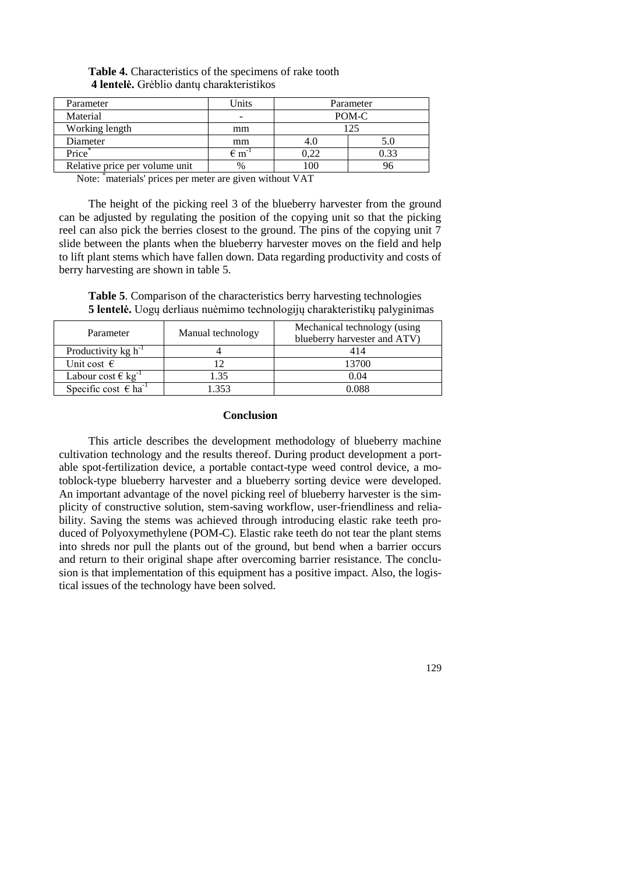| Parameter                      | Units                 |       | Parameter |
|--------------------------------|-----------------------|-------|-----------|
| Material                       | ۰                     | POM-C |           |
| Working length                 | mm                    |       |           |
| Diameter                       | mm                    |       | 5.0       |
| $\overline{\text{Price}}^*$    | $\in$ m <sup>-1</sup> | 0,22  |           |
| Relative price per volume unit |                       |       |           |

**Table 4.** Characteristics of the specimens of rake tooth **4 lentelė.** Grėblio dantų charakteristikos

Note: \*materials' prices per meter are given without VAT

The height of the picking reel 3 of the blueberry harvester from the ground can be adjusted by regulating the position of the copying unit so that the picking reel can also pick the berries closest to the ground. The pins of the copying unit 7 slide between the plants when the blueberry harvester moves on the field and help to lift plant stems which have fallen down. Data regarding productivity and costs of berry harvesting are shown in table 5.

**Table 5**. Comparison of the characteristics berry harvesting technologies **5 lentelė.** Uogų derliaus nuėmimo technologijų charakteristikų palyginimas

| Parameter                            | Manual technology | Mechanical technology (using<br>blueberry harvester and ATV) |
|--------------------------------------|-------------------|--------------------------------------------------------------|
| Productivity $kg h^{-1}$             |                   | 414                                                          |
| Unit cost $\in$                      |                   | 13700                                                        |
| Labour cost $\in$ kg <sup>-1</sup>   | .35               | 0.04                                                         |
| Specific cost $\in$ ha <sup>-1</sup> | 353               | N 088                                                        |

### **Conclusion**

This article describes the development methodology of blueberry machine cultivation technology and the results thereof. During product development a portable spot-fertilization device, a portable contact-type weed control device, a motoblock-type blueberry harvester and a blueberry sorting device were developed. An important advantage of the novel picking reel of blueberry harvester is the simplicity of constructive solution, stem-saving workflow, user-friendliness and reliability. Saving the stems was achieved through introducing elastic rake teeth produced of Polyoxymethylene (POM-C). Elastic rake teeth do not tear the plant stems into shreds nor pull the plants out of the ground, but bend when a barrier occurs and return to their original shape after overcoming barrier resistance. The conclusion is that implementation of this equipment has a positive impact. Also, the logistical issues of the technology have been solved.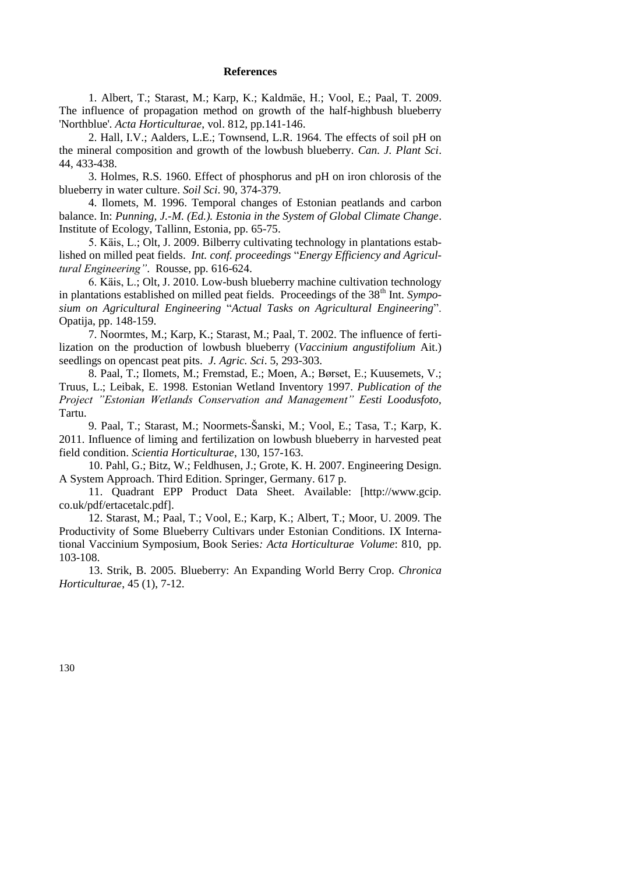## **References**

1. Albert, T.; Starast, M.; Karp, K.; Kaldmäe, H.; Vool, E.; Paal, T. 2009. The influence of propagation method on growth of the half-highbush blueberry 'Northblue'. *Acta Horticulturae*, vol. 812, pp.141-146.

2. Hall, I.V.; Aalders, L.E.; Townsend, L.R. 1964. The effects of soil pH on the mineral composition and growth of the lowbush blueberry. *Can. J. Plant Sci*. 44, 433-438.

3. Holmes, R.S. 1960. Effect of phosphorus and pH on iron chlorosis of the blueberry in water culture. *Soil Sci*. 90, 374-379.

4. Ilomets, M. 1996. Temporal changes of Estonian peatlands and carbon balance. In: *Punning, J.-M. (Ed.). Estonia in the System of Global Climate Change*. Institute of Ecology, Tallinn, Estonia, pp. 65-75.

5. Käis, L.; Olt, J. 2009. Bilberry cultivating technology in plantations established on milled peat fields. *Int. conf. proceedings* "*Energy Efficiency and Agricultural Engineering"*. Rousse, pp. 616-624.

6. Käis, L.; Olt, J. 2010. Low-bush blueberry machine cultivation technology in plantations established on milled peat fields. Proceedings of the 38<sup>th</sup> Int. *Symposium on Agricultural Engineering* "*Actual Tasks on Agricultural Engineering*". Opatija, pp. 148-159.

7. Noormtes, M.; Karp, K.; Starast, M.; Paal, T. 2002. The influence of fertilization on the production of lowbush blueberry (*Vaccinium angustifolium* Ait.) seedlings on opencast peat pits. *J. Agric. Sci*. 5, 293-303.

8. Paal, T.; Ilomets, M.; Fremstad, E.; Moen, A.; Børset, E.; Kuusemets, V.; Truus, L.; Leibak, E. 1998. Estonian Wetland Inventory 1997. *Publication of the Project "Estonian Wetlands Conservation and Management" Eesti Loodusfoto*, Tartu.

9. Paal, T.; Starast, M.; Noormets-Šanski, M.; Vool, E.; Tasa, T.; Karp, K. 2011. Influence of liming and fertilization on lowbush blueberry in harvested peat field condition. *Scientia Horticulturae*, 130, 157-163.

10. Pahl, G.; Bitz, W.; Feldhusen, J.; Grote, K. H. 2007. Engineering Design. A System Approach. Third Edition. Springer, Germany. 617 p.

11. Quadrant EPP Product Data Sheet. Available: [http://www.gcip. co.uk/pdf/ertacetalc.pdf].

12. Starast, M.; Paal, T.; Vool, E.; Karp, K.; Albert, T.; Moor, U. 2009. The Productivity of Some Blueberry Cultivars under Estonian Conditions. IX International Vaccinium Symposium, Book Series*: Acta Horticulturae Volume*: 810, pp. 103-108.

13. Strik, B. 2005. Blueberry: An Expanding World Berry Crop. *Chronica Horticulturae*, 45 (1), 7-12.